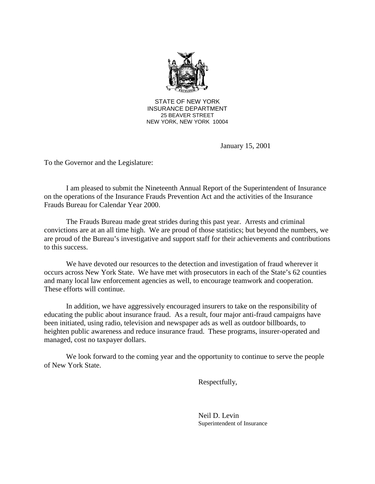

STATE OF NEW YORK INSURANCE DEPARTMENT 25 BEAVER STREET NEW YORK, NEW YORK 10004

January 15, 2001

To the Governor and the Legislature:

 on the operations of the Insurance Frauds Prevention Act and the activities of the Insurance I am pleased to submit the Nineteenth Annual Report of the Superintendent of Insurance Frauds Bureau for Calendar Year 2000.

The Frauds Bureau made great strides during this past year. Arrests and criminal convictions are at an all time high. We are proud of those statistics; but beyond the numbers, we are proud of the Bureau's investigative and support staff for their achievements and contributions to this success.

We have devoted our resources to the detection and investigation of fraud wherever it occurs across New York State. We have met with prosecutors in each of the State's 62 counties and many local law enforcement agencies as well, to encourage teamwork and cooperation. These efforts will continue.

In addition, we have aggressively encouraged insurers to take on the responsibility of educating the public about insurance fraud. As a result, four major anti-fraud campaigns have been initiated, using radio, television and newspaper ads as well as outdoor billboards, to heighten public awareness and reduce insurance fraud. These programs, insurer-operated and managed, cost no taxpayer dollars.

We look forward to the coming year and the opportunity to continue to serve the people of New York State.

Respectfully,

Neil D. Levin Superintendent of Insurance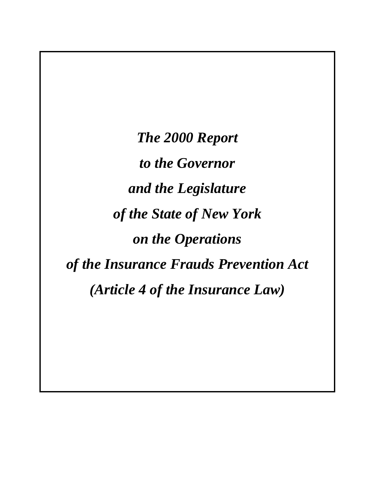*The 2000 Report to the Governor and the Legislature of the State of New York on the Operations of the Insurance Frauds Prevention Act (Article 4 of the Insurance Law)*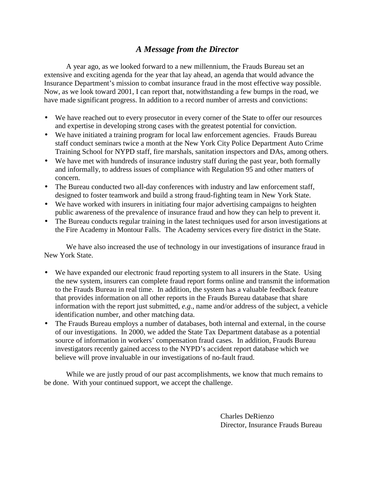# *A Message from the Director*

 extensive and exciting agenda for the year that lay ahead, an agenda that would advance the A year ago, as we looked forward to a new millennium, the Frauds Bureau set an Insurance Department's mission to combat insurance fraud in the most effective way possible. Now, as we look toward 2001, I can report that, notwithstanding a few bumps in the road, we have made significant progress. In addition to a record number of arrests and convictions:

- We have reached out to every prosecutor in every corner of the State to offer our resources and expertise in developing strong cases with the greatest potential for conviction.
- We have initiated a training program for local law enforcement agencies. Frauds Bureau staff conduct seminars twice a month at the New York City Police Department Auto Crime Training School for NYPD staff, fire marshals, sanitation inspectors and DAs, among others.
- We have met with hundreds of insurance industry staff during the past year, both formally and informally, to address issues of compliance with Regulation 95 and other matters of concern.
- The Bureau conducted two all-day conferences with industry and law enforcement staff, designed to foster teamwork and build a strong fraud-fighting team in New York State.
- We have worked with insurers in initiating four major advertising campaigns to heighten public awareness of the prevalence of insurance fraud and how they can help to prevent it.
- The Bureau conducts regular training in the latest techniques used for arson investigations at the Fire Academy in Montour Falls. The Academy services every fire district in the State.

We have also increased the use of technology in our investigations of insurance fraud in New York State.

- We have expanded our electronic fraud reporting system to all insurers in the State. Using the new system, insurers can complete fraud report forms online and transmit the information to the Frauds Bureau in real time. In addition, the system has a valuable feedback feature that provides information on all other reports in the Frauds Bureau database that share information with the report just submitted, *e.g*., name and/or address of the subject, a vehicle identification number, and other matching data.
- The Frauds Bureau employs a number of databases, both internal and external, in the course of our investigations. In 2000, we added the State Tax Department database as a potential source of information in workers' compensation fraud cases. In addition, Frauds Bureau investigators recently gained access to the NYPD's accident report database which we believe will prove invaluable in our investigations of no-fault fraud.

While we are justly proud of our past accomplishments, we know that much remains to be done. With your continued support, we accept the challenge.

> Charles DeRienzo Director, Insurance Frauds Bureau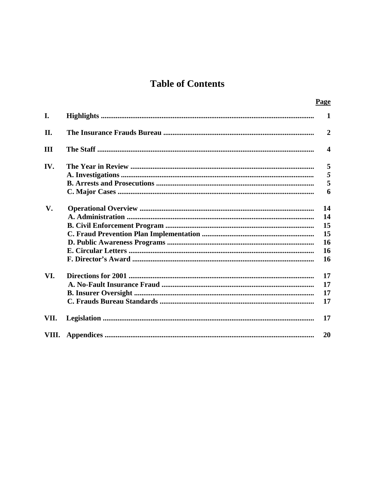# **Table of Contents**

|      | Page                  |
|------|-----------------------|
| I.   | $\mathbf{1}$          |
| Π.   | $\overline{2}$        |
| Ш    | $\boldsymbol{\Delta}$ |
| IV.  | 5                     |
|      | 5                     |
|      | 5                     |
|      | 6                     |
| V.   | 14                    |
|      | 14                    |
|      | 15                    |
|      | 15                    |
|      | 16                    |
|      | 16                    |
|      | 16                    |
| VI.  | 17                    |
|      | 17                    |
|      | 17                    |
|      | 17                    |
| VII. | 17                    |
|      | 20                    |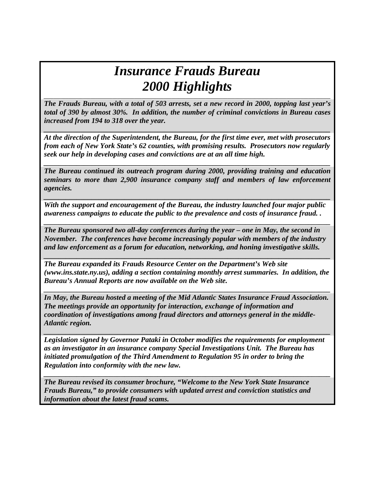# *Insurance Frauds Bureau*  2000 Highlights

*The Frauds Bureau, with a total of 503 arrests, set a new record in 2000, topping last year's total of 390 by almost 30%. In addition, the number of criminal convictions in Bureau cases increased from 194 to 318 over the year.* 

*At the direction of the Superintendent, the Bureau, for the first time ever, met with prosecutors from each of New York State's 62 counties, with promising results. Prosecutors now regularly seek our help in developing cases and convictions are at an all time high.* 

*\_\_\_\_\_\_\_\_\_\_\_\_\_\_\_\_\_\_\_\_\_\_\_\_\_\_\_\_\_\_\_\_\_\_\_\_\_\_\_\_\_\_\_\_\_\_\_\_\_\_\_\_\_\_\_\_\_\_\_\_\_\_\_\_\_\_\_\_\_\_\_\_\_\_\_\_\_\_* 

*The Bureau continued its outreach program during 2000, providing training and education seminars to more than 2,900 insurance company staff and members of law enforcement agencies.* 

*\_\_\_\_\_\_\_\_\_\_\_\_\_\_\_\_\_\_\_\_\_\_\_\_\_\_\_\_\_\_\_\_\_\_\_\_\_\_\_\_\_\_\_\_\_\_\_\_\_\_\_\_\_\_\_\_\_\_\_\_\_\_\_\_\_\_\_\_\_\_\_\_\_\_\_\_\_\_* 

*\_\_\_\_\_\_\_\_\_\_\_\_\_\_\_\_\_\_\_\_\_\_\_\_\_\_\_\_\_\_\_\_\_\_\_\_\_\_\_\_\_\_\_\_\_\_\_\_\_\_\_\_\_\_\_\_\_\_\_\_\_\_\_\_\_\_\_\_\_\_\_\_\_\_\_\_\_\_* 

*\_\_\_\_\_\_\_\_\_\_\_\_\_\_\_\_\_\_\_\_\_\_\_\_\_\_\_\_\_\_\_\_\_\_\_\_\_\_\_\_\_\_\_\_\_\_\_\_\_\_\_\_\_\_\_\_\_\_\_\_\_\_\_\_\_\_\_\_\_\_\_\_\_\_\_\_\_\_* 

*With the support and encouragement of the Bureau, the industry launched four major public awareness campaigns to educate the public to the prevalence and costs of insurance fraud. .* 

*The Bureau sponsored two all-day conferences during the year – one in May, the second in November. The conferences have become increasingly popular with members of the industry and law enforcement as a forum for education, networking, and honing investigative skills.* 

*The Bureau expanded its Frauds Resource Center on the Department's Web site (www.ins.state.ny.us), adding a section containing monthly arrest summaries. In addition, the Bureau's Annual Reports are now available on the Web site.* 

*\_\_\_\_\_\_\_\_\_\_\_\_\_\_\_\_\_\_\_\_\_\_\_\_\_\_\_\_\_\_\_\_\_\_\_\_\_\_\_\_\_\_\_\_\_\_\_\_\_\_\_\_\_\_\_\_\_\_\_\_\_\_\_\_\_\_\_\_\_\_\_\_\_\_\_\_\_\_* 

*\_\_\_\_\_\_\_\_\_\_\_\_\_\_\_\_\_\_\_\_\_\_\_\_\_\_\_\_\_\_\_\_\_\_\_\_\_\_\_\_\_\_\_\_\_\_\_\_\_\_\_\_\_\_\_\_\_\_\_\_\_\_\_\_\_\_\_\_\_\_\_\_\_\_\_\_\_\_* 

*In May, the Bureau hosted a meeting of the Mid Atlantic States Insurance Fraud Association. The meetings provide an opportunity for interaction, exchange of information and coordination of investigations among fraud directors and attorneys general in the middle-Atlantic region.* 

*\_\_\_\_\_\_\_\_\_\_\_\_\_\_\_\_\_\_\_\_\_\_\_\_\_\_\_\_\_\_\_\_\_\_\_\_\_\_\_\_\_\_\_\_\_\_\_\_\_\_\_\_\_\_\_\_\_\_\_\_\_\_\_\_\_\_\_\_\_\_\_\_\_\_\_\_\_\_* 

*Legislation signed by Governor Pataki in October modifies the requirements for employment as an investigator in an insurance company Special Investigations Unit. The Bureau has initiated promulgation of the Third Amendment to Regulation 95 in order to bring the Regulation into conformity with the new law.* 

*\_\_\_\_\_\_\_\_\_\_\_\_\_\_\_\_\_\_\_\_\_\_\_\_\_\_\_\_\_\_\_\_\_\_\_\_\_\_\_\_\_\_\_\_\_\_\_\_\_\_\_\_\_\_\_\_\_\_\_\_\_\_\_\_\_\_\_\_\_\_\_\_\_\_\_\_\_\_* 

*The Bureau revised its consumer brochure, "Welcome to the New York State Insurance Frauds Bureau," to provide consumers with updated arrest and conviction statistics and information about the latest fraud scams.*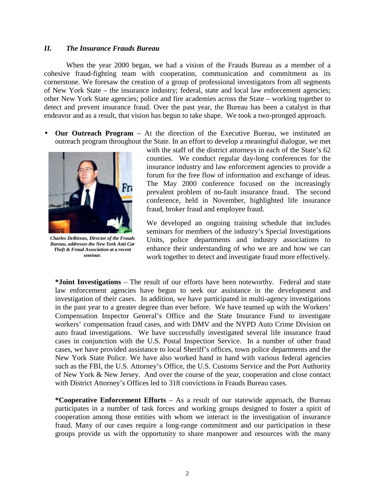#### <span id="page-5-0"></span>*II. The Insurance Frauds Bureau*

When the year 2000 began, we had a vision of the Frauds Bureau as a member of a cohesive fraud-fighting team with cooperation, communication and commitment as its cornerstone. We foresaw the creation of a group of professional investigators from all segments of New York State – the insurance industry; federal, state and local law enforcement agencies; other New York State agencies; police and fire academies across the State – working together to detect and prevent insurance fraud. Over the past year, the Bureau has been a catalyst in that endeavor and as a result, that vision has begun to take shape. We took a two-pronged approach.

 • **Our Outreach Program** – At the direction of the Executive Bureau, we instituted an outreach program throughout the State. In an effort to develop a meaningful dialogue, we met



*Charles DeRienzo, Director of the Frauds Bureau, addresses the New York Anti Car Theft & Fraud Association at a recent seminar.* 

with the staff of the district attorneys in each of the State's 62 counties. We conduct regular day-long conferences for the insurance industry and law enforcement agencies to provide a forum for the free flow of information and exchange of ideas. The May 2000 conference focused on the increasingly prevalent problem of no-fault insurance fraud. The second conference, held in November, highlighted life insurance fraud, broker fraud and employee fraud.

We developed an ongoing training schedule that includes seminars for members of the industry's Special Investigations Units, police departments and industry associations to enhance their understanding of who we are and how we can work together to detect and investigate fraud more effectively.

 in the past year to a greater degree than ever before. We have teamed up with the Workers' **\*Joint Investigations** – The result of our efforts have been noteworthy. Federal and state law enforcement agencies have begun to seek our assistance in the development and investigation of their cases. In addition, we have participated in multi-agency investigations Compensation Inspector General's Office and the State Insurance Fund to investigate workers' compensation fraud cases, and with DMV and the NYPD Auto Crime Division on auto fraud investigations. We have successfully investigated several life insurance fraud cases in conjunction with the U.S. Postal Inspection Service. In a number of other fraud cases, we have provided assistance to local Sheriff's offices, town police departments and the New York State Police. We have also worked hand in hand with various federal agencies such as the FBI, the U.S. Attorney's Office, the U.S. Customs Service and the Port Authority of New York & New Jersey. And over the course of the year, cooperation and close contact with District Attorney's Offices led to 318 convictions in Frauds Bureau cases.

**\*Cooperative Enforcement Efforts** – As a result of our statewide approach, the Bureau participates in a number of task forces and working groups designed to foster a spirit of cooperation among those entities with whom we interact in the investigation of insurance fraud. Many of our cases require a long-range commitment and our participation in these groups provide us with the opportunity to share manpower and resources with the many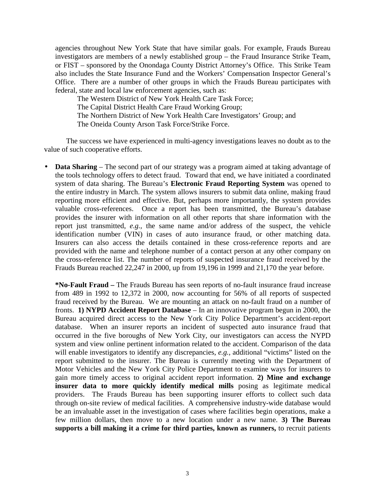agencies throughout New York State that have similar goals. For example, Frauds Bureau investigators are members of a newly established group – the Fraud Insurance Strike Team, or FIST – sponsored by the Onondaga County District Attorney's Office. This Strike Team also includes the State Insurance Fund and the Workers' Compensation Inspector General's Office. There are a number of other groups in which the Frauds Bureau participates with federal, state and local law enforcement agencies, such as:

The Western District of New York Health Care Task Force; The Capital District Health Care Fraud Working Group; The Northern District of New York Health Care Investigators' Group; and The Oneida County Arson Task Force/Strike Force.

The success we have experienced in multi-agency investigations leaves no doubt as to the value of such cooperative efforts.

 • **Data Sharing** – The second part of our strategy was a program aimed at taking advantage of the tools technology offers to detect fraud. Toward that end, we have initiated a coordinated valuable cross-references. Once a report has been transmitted, the Bureau's database system of data sharing. The Bureau's **Electronic Fraud Reporting System** was opened to the entire industry in March. The system allows insurers to submit data online, making fraud reporting more efficient and effective. But, perhaps more importantly, the system provides provides the insurer with information on all other reports that share information with the report just transmitted, *e.g.,* the same name and/or address of the suspect, the vehicle identification number (VIN) in cases of auto insurance fraud, or other matching data. Insurers can also access the details contained in these cross-reference reports and are provided with the name and telephone number of a contact person at any other company on the cross-reference list. The number of reports of suspected insurance fraud received by the Frauds Bureau reached 22,247 in 2000, up from 19,196 in 1999 and 21,170 the year before.

 system and view online pertinent information related to the accident. Comparison of the data report submitted to the insurer. The Bureau is currently meeting with the Department of be an invaluable asset in the investigation of cases where facilities begin operations, make a **\*No-Fault Fraud –** The Frauds Bureau has seen reports of no-fault insurance fraud increase from 489 in 1992 to 12,372 in 2000, now accounting for 56% of all reports of suspected fraud received by the Bureau. We are mounting an attack on no-fault fraud on a number of fronts. **1) NYPD Accident Report Database** – In an innovative program begun in 2000, the Bureau acquired direct access to the New York City Police Department's accident-report database. When an insurer reports an incident of suspected auto insurance fraud that occurred in the five boroughs of New York City, our investigators can access the NYPD will enable investigators to identify any discrepancies, *e.g.,* additional "victims" listed on the Motor Vehicles and the New York City Police Department to examine ways for insurers to gain more timely access to original accident report information. **2) Mine and exchange insurer data to more quickly identify medical mills** posing as legitimate medical providers. The Frauds Bureau has been supporting insurer efforts to collect such data through on-site review of medical facilities. A comprehensive industry-wide database would few million dollars, then move to a new location under a new name. **3) The Bureau supports a bill making it a crime for third parties, known as runners,** to recruit patients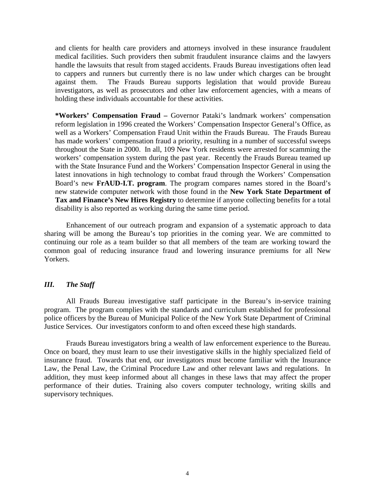<span id="page-7-0"></span>and clients for health care providers and attorneys involved in these insurance fraudulent medical facilities. Such providers then submit fraudulent insurance claims and the lawyers handle the lawsuits that result from staged accidents. Frauds Bureau investigations often lead to cappers and runners but currently there is no law under which charges can be brought against them. The Frauds Bureau supports legislation that would provide Bureau investigators, as well as prosecutors and other law enforcement agencies, with a means of holding these individuals accountable for these activities.

 has made workers' compensation fraud a priority, resulting in a number of successful sweeps **Tax and Finance's New Hires Registry** to determine if anyone collecting benefits for a total **\*Workers' Compensation Fraud –** Governor Pataki's landmark workers' compensation reform legislation in 1996 created the Workers' Compensation Inspector General's Office, as well as a Workers' Compensation Fraud Unit within the Frauds Bureau. The Frauds Bureau throughout the State in 2000. In all, 109 New York residents were arrested for scamming the workers' compensation system during the past year. Recently the Frauds Bureau teamed up with the State Insurance Fund and the Workers' Compensation Inspector General in using the latest innovations in high technology to combat fraud through the Workers' Compensation Board's new **FrAUD-I.T. program**. The program compares names stored in the Board's new statewide computer network with those found in the **New York State Department of**  disability is also reported as working during the same time period.

 sharing will be among the Bureau's top priorities in the coming year. We are committed to continuing our role as a team builder so that all members of the team are working toward the Enhancement of our outreach program and expansion of a systematic approach to data common goal of reducing insurance fraud and lowering insurance premiums for all New Yorkers.

#### *III. The Staff*

 police officers by the Bureau of Municipal Police of the New York State Department of Criminal All Frauds Bureau investigative staff participate in the Bureau's in-service training program. The program complies with the standards and curriculum established for professional Justice Services. Our investigators conform to and often exceed these high standards.

 Once on board, they must learn to use their investigative skills in the highly specialized field of Frauds Bureau investigators bring a wealth of law enforcement experience to the Bureau. insurance fraud. Towards that end, our investigators must become familiar with the Insurance Law, the Penal Law, the Criminal Procedure Law and other relevant laws and regulations. In addition, they must keep informed about all changes in these laws that may affect the proper performance of their duties. Training also covers computer technology, writing skills and supervisory techniques.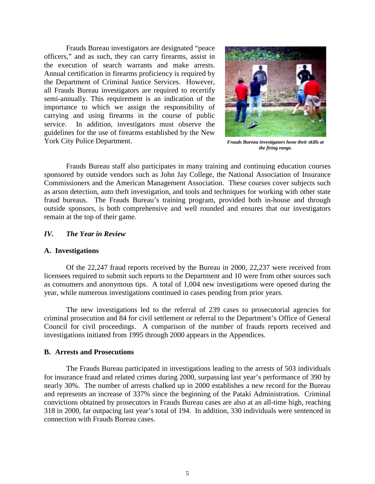<span id="page-8-0"></span> carrying and using firearms in the course of public Frauds Bureau investigators are designated "peace officers," and as such, they can carry firearms, assist in the execution of search warrants and make arrests. Annual certification in firearms proficiency is required by the Department of Criminal Justice Services. However, all Frauds Bureau investigators are required to recertify semi-annually. This requirement is an indication of the importance to which we assign the responsibility of service. In addition, investigators must observe the guidelines for the use of firearms established by the New York City Police Department.



*Frauds Bureau investigators hone their skills at the firing range.* 

 Frauds Bureau staff also participates in many training and continuing education courses sponsored by outside vendors such as John Jay College, the National Association of Insurance Commissioners and the American Management Association. These courses cover subjects such as arson detection, auto theft investigation, and tools and techniques for working with other state fraud bureaus. The Frauds Bureau's training program, provided both in-house and through outside sponsors, is both comprehensive and well rounded and ensures that our investigators remain at the top of their game.

#### *IV. The Year in Review*

#### **A. Investigations**

Of the 22,247 fraud reports received by the Bureau in 2000, 22,237 were received from licensees required to submit such reports to the Department and 10 were from other sources such as consumers and anonymous tips. A total of 1,004 new investigations were opened during the year, while numerous investigations continued in cases pending from prior years.

The new investigations led to the referral of 239 cases to prosecutorial agencies for criminal prosecution and 84 for civil settlement or referral to the Department's Office of General Council for civil proceedings. A comparison of the number of frauds reports received and investigations initiated from 1995 through 2000 appears in the Appendices.

#### **B. Arrests and Prosecutions**

 nearly 30%. The number of arrests chalked up in 2000 establishes a new record for the Bureau The Frauds Bureau participated in investigations leading to the arrests of 503 individuals for insurance fraud and related crimes during 2000, surpassing last year's performance of 390 by and represents an increase of 337% since the beginning of the Pataki Administration. Criminal convictions obtained by prosecutors in Frauds Bureau cases are also at an all-time high, reaching 318 in 2000, far outpacing last year's total of 194. In addition, 330 individuals were sentenced in connection with Frauds Bureau cases.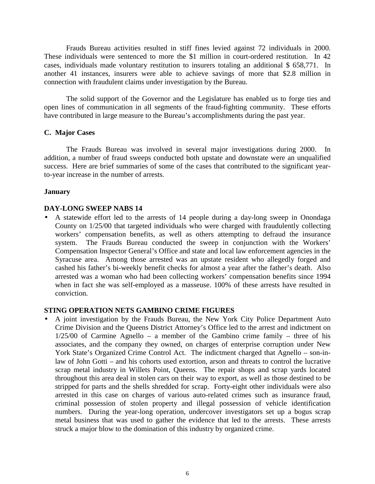<span id="page-9-0"></span>Frauds Bureau activities resulted in stiff fines levied against 72 individuals in 2000. These individuals were sentenced to more the \$1 million in court-ordered restitution. In 42 cases, individuals made voluntary restitution to insurers totaling an additional \$ 658,771. In another 41 instances, insurers were able to achieve savings of more that \$2.8 million in connection with fraudulent claims under investigation by the Bureau.

 open lines of communication in all segments of the fraud-fighting community. These efforts The solid support of the Governor and the Legislature has enabled us to forge ties and have contributed in large measure to the Bureau's accomplishments during the past year.

#### **C. Major Cases**

The Frauds Bureau was involved in several major investigations during 2000. In addition, a number of fraud sweeps conducted both upstate and downstate were an unqualified success. Here are brief summaries of some of the cases that contributed to the significant yearto-year increase in the number of arrests.

#### **January**

#### **DAY-LONG SWEEP NABS 14**

 workers' compensation benefits, as well as others attempting to defraud the insurance • A statewide effort led to the arrests of 14 people during a day-long sweep in Onondaga County on 1/25/00 that targeted individuals who were charged with fraudulently collecting system. The Frauds Bureau conducted the sweep in conjunction with the Workers' Compensation Inspector General's Office and state and local law enforcement agencies in the Syracuse area. Among those arrested was an upstate resident who allegedly forged and cashed his father's bi-weekly benefit checks for almost a year after the father's death. Also arrested was a woman who had been collecting workers' compensation benefits since 1994 when in fact she was self-employed as a masseuse. 100% of these arrests have resulted in conviction.

### **STING OPERATION NETS GAMBINO CRIME FIGURES**

 numbers. During the year-long operation, undercover investigators set up a bogus scrap • A joint investigation by the Frauds Bureau, the New York City Police Department Auto Crime Division and the Queens District Attorney's Office led to the arrest and indictment on  $1/25/00$  of Carmine Agnello – a member of the Gambino crime family – three of his associates, and the company they owned, on charges of enterprise corruption under New York State's Organized Crime Control Act. The indictment charged that Agnello – son-inlaw of John Gotti – and his cohorts used extortion, arson and threats to control the lucrative scrap metal industry in Willets Point, Queens. The repair shops and scrap yards located throughout this area deal in stolen cars on their way to export, as well as those destined to be stripped for parts and the shells shredded for scrap. Forty-eight other individuals were also arrested in this case on charges of various auto-related crimes such as insurance fraud, criminal possession of stolen property and illegal possession of vehicle identification metal business that was used to gather the evidence that led to the arrests. These arrests struck a major blow to the domination of this industry by organized crime.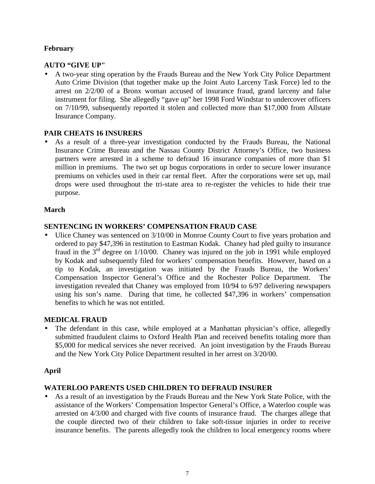# **February**

# **AUTO "GIVE UP"**

 • A two-year sting operation by the Frauds Bureau and the New York City Police Department Auto Crime Division (that together make up the Joint Auto Larceny Task Force) led to the arrest on 2/2/00 of a Bronx woman accused of insurance fraud, grand larceny and false instrument for filing. She allegedly "gave up" her 1998 Ford Windstar to undercover officers on 7/10/99, subsequently reported it stolen and collected more than \$17,000 from Allstate Insurance Company.

# **PAIR CHEATS 16 INSURERS**

 million in premiums. The two set up bogus corporations in order to secure lower insurance • As a result of a three-year investigation conducted by the Frauds Bureau, the National Insurance Crime Bureau and the Nassau County District Attorney's Office, two business partners were arrested in a scheme to defraud 16 insurance companies of more than \$1 premiums on vehicles used in their car rental fleet. After the corporations were set up, mail drops were used throughout the tri-state area to re-register the vehicles to hide their true purpose.

# **March**

# **SENTENCING IN WORKERS' COMPENSATION FRAUD CASE**

• Ulice Chaney was sentenced on  $3/10/00$  in Monroe County Court to five years probation and ordered to pay \$47,396 in restitution to Eastman Kodak. Chaney had pled guilty to insurance fraud in the  $3<sup>rd</sup>$  degree on 1/10/00. Chaney was injured on the job in 1991 while employed by Kodak and subsequently filed for workers' compensation benefits. However, based on a tip to Kodak, an investigation was initiated by the Frauds Bureau, the Workers' Compensation Inspector General's Office and the Rochester Police Department. The investigation revealed that Chaney was employed from 10/94 to 6/97 delivering newspapers using his son's name. During that time, he collected \$47,396 in workers' compensation benefits to which he was not entitled.

# **MEDICAL FRAUD**

The defendant in this case, while employed at a Manhattan physician's office, allegedly submitted fraudulent claims to Oxford Health Plan and received benefits totaling more than \$5,000 for medical services she never received. An joint investigation by the Frauds Bureau and the New York City Police Department resulted in her arrest on 3/20/00.

# **April**

# **WATERLOO PARENTS USED CHILDREN TO DEFRAUD INSURER**

• As a result of an investigation by the Frauds Bureau and the New York State Police, with the assistance of the Workers' Compensation Inspector General's Office, a Waterloo couple was arrested on 4/3/00 and charged with five counts of insurance fraud. The charges allege that the couple directed two of their children to fake soft-tissue injuries in order to receive insurance benefits. The parents allegedly took the children to local emergency rooms where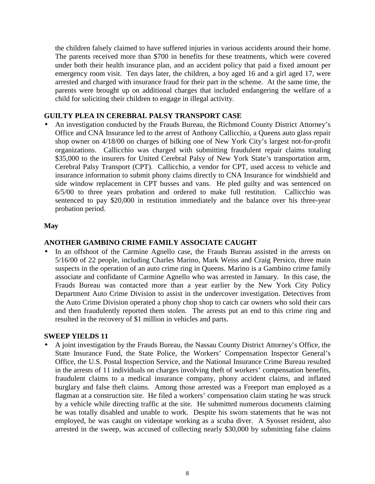emergency room visit. Ten days later, the children, a boy aged 16 and a girl aged 17, were the children falsely claimed to have suffered injuries in various accidents around their home. The parents received more than \$700 in benefits for these treatments, which were covered under both their health insurance plan, and an accident policy that paid a fixed amount per arrested and charged with insurance fraud for their part in the scheme. At the same time, the parents were brought up on additional charges that included endangering the welfare of a child for soliciting their children to engage in illegal activity.

# **GUILTY PLEA IN CEREBRAL PALSY TRANSPORT CASE**

\$35,000 to the insurers for United Cerebral Palsy of New York State's transportation arm, • An investigation conducted by the Frauds Bureau, the Richmond County District Attorney's Office and CNA Insurance led to the arrest of Anthony Callicchio, a Queens auto glass repair shop owner on 4/18/00 on charges of bilking one of New York City's largest not-for-profit organizations. Callicchio was charged with submitting fraudulent repair claims totaling Cerebral Palsy Transport (CPT). Callicchio, a vendor for CPT, used access to vehicle and insurance information to submit phony claims directly to CNA Insurance for windshield and side window replacement in CPT busses and vans. He pled guilty and was sentenced on 6/5/00 to three years probation and ordered to make full restitution. Callicchio was sentenced to pay \$20,000 in restitution immediately and the balance over his three-year probation period.

#### **May**

#### **ANOTHER GAMBINO CRIME FAMILY ASSOCIATE CAUGHT**

 associate and confidante of Carmine Agnello who was arrested in January. In this case, the In an offshoot of the Carmine Agnello case, the Frauds Bureau assisted in the arrests on 5/16/00 of 22 people, including Charles Marino, Mark Weiss and Craig Persico, three main suspects in the operation of an auto crime ring in Queens. Marino is a Gambino crime family Frauds Bureau was contacted more than a year earlier by the New York City Policy Department Auto Crime Division to assist in the undercover investigation. Detectives from the Auto Crime Division operated a phony chop shop to catch car owners who sold their cars and then fraudulently reported them stolen. The arrests put an end to this crime ring and resulted in the recovery of \$1 million in vehicles and parts.

#### **SWEEP YIELDS 11**

 flagman at a construction site. He filed a workers' compensation claim stating he was struck • A joint investigation by the Frauds Bureau, the Nassau County District Attorney's Office, the State Insurance Fund, the State Police, the Workers' Compensation Inspector General's Office, the U.S. Postal Inspection Service, and the National Insurance Crime Bureau resulted in the arrests of 11 individuals on charges involving theft of workers' compensation benefits, fraudulent claims to a medical insurance company, phony accident claims, and inflated burglary and false theft claims. Among those arrested was a Freeport man employed as a by a vehicle while directing traffic at the site. He submitted numerous documents claiming he was totally disabled and unable to work. Despite his sworn statements that he was not employed, he was caught on videotape working as a scuba diver. A Syosset resident, also arrested in the sweep, was accused of collecting nearly \$30,000 by submitting false claims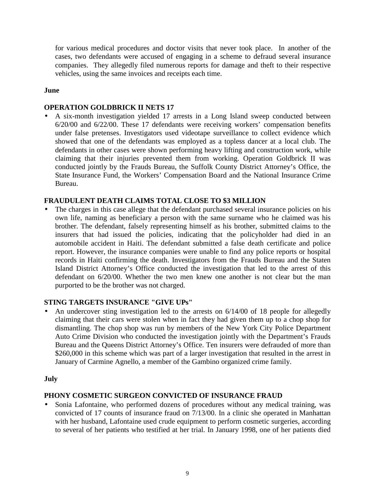for various medical procedures and doctor visits that never took place. In another of the cases, two defendants were accused of engaging in a scheme to defraud several insurance companies. They allegedly filed numerous reports for damage and theft to their respective vehicles, using the same invoices and receipts each time.

# **June**

# **OPERATION GOLDBRICK II NETS 17**

 6/20/00 and 6/22/00. These 17 defendants were receiving workers' compensation benefits • A six-month investigation yielded 17 arrests in a Long Island sweep conducted between under false pretenses. Investigators used videotape surveillance to collect evidence which showed that one of the defendants was employed as a topless dancer at a local club. The defendants in other cases were shown performing heavy lifting and construction work, while claiming that their injuries prevented them from working. Operation Goldbrick II was conducted jointly by the Frauds Bureau, the Suffolk County District Attorney's Office, the State Insurance Fund, the Workers' Compensation Board and the National Insurance Crime Bureau.

# **FRAUDULENT DEATH CLAIMS TOTAL CLOSE TO \$3 MILLION**

 insurers that had issued the policies, indicating that the policyholder had died in an records in Haiti confirming the death. Investigators from the Frauds Bureau and the Staten • The charges in this case allege that the defendant purchased several insurance policies on his own life, naming as beneficiary a person with the same surname who he claimed was his brother. The defendant, falsely representing himself as his brother, submitted claims to the automobile accident in Haiti. The defendant submitted a false death certificate and police report. However, the insurance companies were unable to find any police reports or hospital Island District Attorney's Office conducted the investigation that led to the arrest of this defendant on 6/20/00. Whether the two men knew one another is not clear but the man purported to be the brother was not charged.

#### **STING TARGETS INSURANCE "GIVE UPs"**

• An undercover sting investigation led to the arrests on 6/14/00 of 18 people for allegedly claiming that their cars were stolen when in fact they had given them up to a chop shop for dismantling. The chop shop was run by members of the New York City Police Department Auto Crime Division who conducted the investigation jointly with the Department's Frauds Bureau and the Queens District Attorney's Office. Ten insurers were defrauded of more than \$260,000 in this scheme which was part of a larger investigation that resulted in the arrest in January of Carmine Agnello, a member of the Gambino organized crime family.

#### **July**

#### **PHONY COSMETIC SURGEON CONVICTED OF INSURANCE FRAUD**

• Sonia Lafontaine, who performed dozens of procedures without any medical training, was convicted of 17 counts of insurance fraud on 7/13/00. In a clinic she operated in Manhattan with her husband, Lafontaine used crude equipment to perform cosmetic surgeries, according to several of her patients who testified at her trial. In January 1998, one of her patients died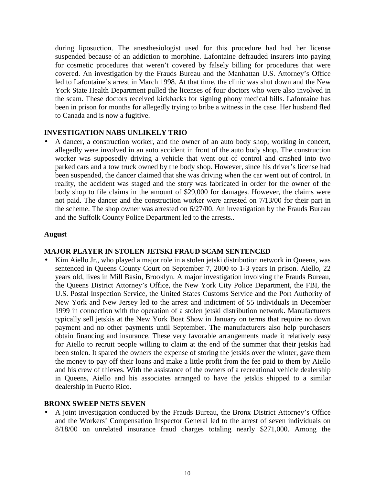<span id="page-13-0"></span>during liposuction. The anesthesiologist used for this procedure had had her license suspended because of an addiction to morphine. Lafontaine defrauded insurers into paying for cosmetic procedures that weren't covered by falsely billing for procedures that were covered. An investigation by the Frauds Bureau and the Manhattan U.S. Attorney's Office led to Lafontaine's arrest in March 1998. At that time, the clinic was shut down and the New York State Health Department pulled the licenses of four doctors who were also involved in the scam. These doctors received kickbacks for signing phony medical bills. Lafontaine has been in prison for months for allegedly trying to bribe a witness in the case. Her husband fled to Canada and is now a fugitive.

#### **INVESTIGATION NABS UNLIKELY TRIO**

• A dancer, a construction worker, and the owner of an auto body shop, working in concert, allegedly were involved in an auto accident in front of the auto body shop. The construction worker was supposedly driving a vehicle that went out of control and crashed into two parked cars and a tow truck owned by the body shop. However, since his driver's license had been suspended, the dancer claimed that she was driving when the car went out of control. In reality, the accident was staged and the story was fabricated in order for the owner of the body shop to file claims in the amount of \$29,000 for damages. However, the claims were not paid. The dancer and the construction worker were arrested on 7/13/00 for their part in the scheme. The shop owner was arrested on 6/27/00. An investigation by the Frauds Bureau and the Suffolk County Police Department led to the arrests..

#### **August**

#### **MAJOR PLAYER IN STOLEN JETSKI FRAUD SCAM SENTENCED**

 obtain financing and insurance. These very favorable arrangements made it relatively easy the money to pay off their loans and make a little profit from the fee paid to them by Aiello • Kim Aiello Jr., who played a major role in a stolen jetski distribution network in Queens, was sentenced in Queens County Court on September 7, 2000 to 1-3 years in prison. Aiello, 22 years old, lives in Mill Basin, Brooklyn. A major investigation involving the Frauds Bureau, the Queens District Attorney's Office, the New York City Police Department, the FBI, the U.S. Postal Inspection Service, the United States Customs Service and the Port Authority of New York and New Jersey led to the arrest and indictment of 55 individuals in December 1999 in connection with the operation of a stolen jetski distribution network. Manufacturers typically sell jetskis at the New York Boat Show in January on terms that require no down payment and no other payments until September. The manufacturers also help purchasers for Aiello to recruit people willing to claim at the end of the summer that their jetskis had been stolen. It spared the owners the expense of storing the jetskis over the winter, gave them and his crew of thieves. With the assistance of the owners of a recreational vehicle dealership in Queens, Aiello and his associates arranged to have the jetskis shipped to a similar dealership in Puerto Rico.

#### **BRONX SWEEP NETS SEVEN**

• A joint investigation conducted by the Frauds Bureau, the Bronx District Attorney's Office and the Workers' Compensation Inspector General led to the arrest of seven individuals on 8/18/00 on unrelated insurance fraud charges totaling nearly \$271,000. Among the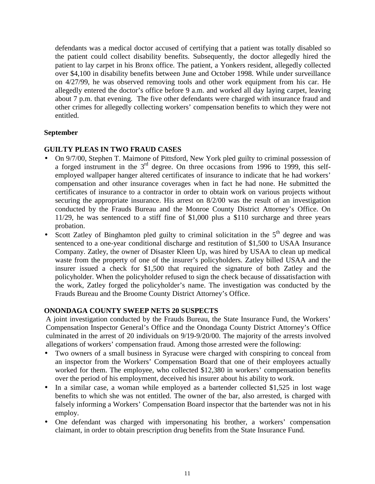allegedly entered the doctor's office before 9 a.m. and worked all day laying carpet, leaving other crimes for allegedly collecting workers' compensation benefits to which they were not defendants was a medical doctor accused of certifying that a patient was totally disabled so the patient could collect disability benefits. Subsequently, the doctor allegedly hired the patient to lay carpet in his Bronx office. The patient, a Yonkers resident, allegedly collected over \$4,100 in disability benefits between June and October 1998. While under surveillance on 4/27/99, he was observed removing tools and other work equipment from his car. He about 7 p.m. that evening. The five other defendants were charged with insurance fraud and entitled.

# **September**

# **GUILTY PLEAS IN TWO FRAUD CASES**

- employed wallpaper hanger altered certificates of insurance to indicate that he had workers' compensation and other insurance coverages when in fact he had none. He submitted the • On 9/7/00, Stephen T. Maimone of Pittsford, New York pled guilty to criminal possession of a forged instrument in the 3rd degree. On three occasions from 1996 to 1999, this selfcertificates of insurance to a contractor in order to obtain work on various projects without securing the appropriate insurance. His arrest on 8/2/00 was the result of an investigation conducted by the Frauds Bureau and the Monroe County District Attorney's Office. On 11/29, he was sentenced to a stiff fine of \$1,000 plus a \$110 surcharge and three years probation.
- Scott Zatley of Binghamton pled guilty to criminal solicitation in the  $5<sup>th</sup>$  degree and was sentenced to a one-year conditional discharge and restitution of \$1,500 to USAA Insurance Company. Zatley, the owner of Disaster Kleen Up, was hired by USAA to clean up medical waste from the property of one of the insurer's policyholders. Zatley billed USAA and the insurer issued a check for \$1,500 that required the signature of both Zatley and the policyholder. When the policyholder refused to sign the check because of dissatisfaction with the work, Zatley forged the policyholder's name. The investigation was conducted by the Frauds Bureau and the Broome County District Attorney's Office.

# **ONONDAGA COUNTY SWEEP NETS 20 SUSPECTS**

A joint investigation conducted by the Frauds Bureau, the State Insurance Fund, the Workers' Compensation Inspector General's Office and the Onondaga County District Attorney's Office culminated in the arrest of 20 individuals on 9/19-9/20/00. The majority of the arrests involved allegations of workers' compensation fraud. Among those arrested were the following:

- • Two owners of a small business in Syracuse were charged with conspiring to conceal from an inspector from the Workers' Compensation Board that one of their employees actually worked for them. The employee, who collected \$12,380 in workers' compensation benefits over the period of his employment, deceived his insurer about his ability to work.
- falsely informing a Workers' Compensation Board inspector that the bartender was not in his In a similar case, a woman while employed as a bartender collected \$1,525 in lost wage benefits to which she was not entitled. The owner of the bar, also arrested, is charged with employ.
- One defendant was charged with impersonating his brother, a workers' compensation claimant, in order to obtain prescription drug benefits from the State Insurance Fund.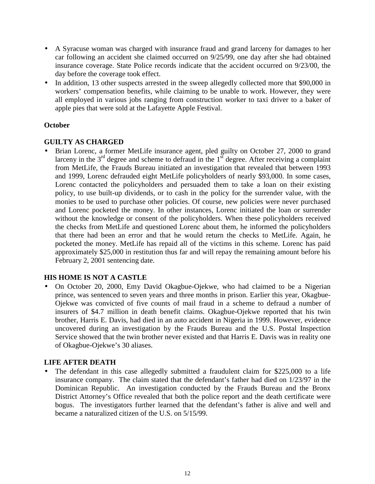- A Syracuse woman was charged with insurance fraud and grand larceny for damages to her car following an accident she claimed occurred on 9/25/99, one day after she had obtained insurance coverage. State Police records indicate that the accident occurred on 9/23/00, the day before the coverage took effect.
- In addition, 13 other suspects arrested in the sweep allegedly collected more that \$90,000 in workers' compensation benefits, while claiming to be unable to work. However, they were all employed in various jobs ranging from construction worker to taxi driver to a baker of apple pies that were sold at the Lafayette Apple Festival.

# **October**

# **GUILTY AS CHARGED**

 policy, to use built-up dividends, or to cash in the policy for the surrender value, with the and Lorenc pocketed the money. In other instances, Lorenc initiated the loan or surrender • Brian Lorenc, a former MetLife insurance agent, pled guilty on October 27, 2000 to grand larceny in the  $3<sup>rd</sup>$  degree and scheme to defraud in the  $1<sup>st</sup>$  degree. After receiving a complaint from MetLife, the Frauds Bureau initiated an investigation that revealed that between 1993 and 1999, Lorenc defrauded eight MetLife policyholders of nearly \$93,000. In some cases, Lorenc contacted the policyholders and persuaded them to take a loan on their existing monies to be used to purchase other policies. Of course, new policies were never purchased without the knowledge or consent of the policyholders. When these policyholders received the checks from MetLife and questioned Lorenc about them, he informed the policyholders that there had been an error and that he would return the checks to MetLife. Again, he pocketed the money. MetLife has repaid all of the victims in this scheme. Lorenc has paid approximately \$25,000 in restitution thus far and will repay the remaining amount before his February 2, 2001 sentencing date.

# **HIS HOME IS NOT A CASTLE**

• On October 20, 2000, Emy David Okagbue-Ojekwe, who had claimed to be a Nigerian prince, was sentenced to seven years and three months in prison. Earlier this year, Okagbue-Ojekwe was convicted of five counts of mail fraud in a scheme to defraud a number of insurers of \$4.7 million in death benefit claims. Okagbue-Ojekwe reported that his twin brother, Harris E. Davis, had died in an auto accident in Nigeria in 1999. However, evidence uncovered during an investigation by the Frauds Bureau and the U.S. Postal Inspection Service showed that the twin brother never existed and that Harris E. Davis was in reality one of Okagbue-Ojekwe's 30 aliases.

#### **LIFE AFTER DEATH**

 insurance company. The claim stated that the defendant's father had died on 1/23/97 in the • The defendant in this case allegedly submitted a fraudulent claim for \$225,000 to a life Dominican Republic. An investigation conducted by the Frauds Bureau and the Bronx District Attorney's Office revealed that both the police report and the death certificate were bogus. The investigators further learned that the defendant's father is alive and well and became a naturalized citizen of the U.S. on 5/15/99.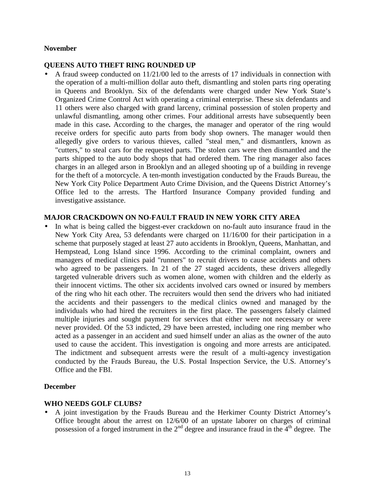#### **November**

#### **QUEENS AUTO THEFT RING ROUNDED UP**

 the operation of a multi-million dollar auto theft, dismantling and stolen parts ring operating "cutters," to steal cars for the requested parts. The stolen cars were then dismantled and the • A fraud sweep conducted on 11/21/00 led to the arrests of 17 individuals in connection with in Queens and Brooklyn. Six of the defendants were charged under New York State's Organized Crime Control Act with operating a criminal enterprise. These six defendants and 11 others were also charged with grand larceny, criminal possession of stolen property and unlawful dismantling, among other crimes. Four additional arrests have subsequently been made in this case**.** According to the charges, the manager and operator of the ring would receive orders for specific auto parts from body shop owners. The manager would then allegedly give orders to various thieves, called "steal men," and dismantlers, known as parts shipped to the auto body shops that had ordered them. The ring manager also faces charges in an alleged arson in Brooklyn and an alleged shooting up of a building in revenge for the theft of a motorcycle. A ten-month investigation conducted by the Frauds Bureau, the New York City Police Department Auto Crime Division, and the Queens District Attorney's Office led to the arrests. The Hartford Insurance Company provided funding and investigative assistance.

#### **MAJOR CRACKDOWN ON NO-FAULT FRAUD IN NEW YORK CITY AREA**

 their innocent victims. The other six accidents involved cars owned or insured by members of the ring who hit each other. The recruiters would then send the drivers who had initiated In what is being called the biggest-ever crackdown on no-fault auto insurance fraud in the New York City Area, 53 defendants were charged on 11/16/00 for their participation in a scheme that purposely staged at least 27 auto accidents in Brooklyn, Queens, Manhattan, and Hempstead, Long Island since 1996. According to the criminal complaint, owners and managers of medical clinics paid "runners" to recruit drivers to cause accidents and others who agreed to be passengers. In 21 of the 27 staged accidents, these drivers allegedly targeted vulnerable drivers such as women alone, women with children and the elderly as the accidents and their passengers to the medical clinics owned and managed by the individuals who had hired the recruiters in the first place. The passengers falsely claimed multiple injuries and sought payment for services that either were not necessary or were never provided. Of the 53 indicted, 29 have been arrested, including one ring member who acted as a passenger in an accident and sued himself under an alias as the owner of the auto used to cause the accident. This investigation is ongoing and more arrests are anticipated. The indictment and subsequent arrests were the result of a multi-agency investigation conducted by the Frauds Bureau, the U.S. Postal Inspection Service, the U.S. Attorney's Office and the FBI.

#### **December**

#### **WHO NEEDS GOLF CLUBS?**

• A joint investigation by the Frauds Bureau and the Herkimer County District Attorney's Office brought about the arrest on 12/6/00 of an upstate laborer on charges of criminal possession of a forged instrument in the  $2<sup>nd</sup>$  degree and insurance fraud in the  $4<sup>th</sup>$  degree. The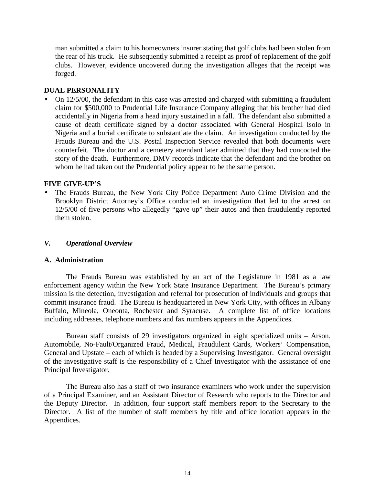<span id="page-17-0"></span> man submitted a claim to his homeowners insurer stating that golf clubs had been stolen from clubs. However, evidence uncovered during the investigation alleges that the receipt was the rear of his truck. He subsequently submitted a receipt as proof of replacement of the golf forged.

#### **DUAL PERSONALITY**

• On 12/5/00, the defendant in this case was arrested and charged with submitting a fraudulent claim for \$500,000 to Prudential Life Insurance Company alleging that his brother had died accidentally in Nigeria from a head injury sustained in a fall. The defendant also submitted a cause of death certificate signed by a doctor associated with General Hospital Isolo in Nigeria and a burial certificate to substantiate the claim. An investigation conducted by the Frauds Bureau and the U.S. Postal Inspection Service revealed that both documents were counterfeit. The doctor and a cemetery attendant later admitted that they had concocted the story of the death. Furthermore, DMV records indicate that the defendant and the brother on whom he had taken out the Prudential policy appear to be the same person.

#### **FIVE GIVE-UP'S**

• The Frauds Bureau, the New York City Police Department Auto Crime Division and the Brooklyn District Attorney's Office conducted an investigation that led to the arrest on 12/5/00 of five persons who allegedly "gave up" their autos and then fraudulently reported them stolen.

#### *V. Operational Overview*

#### **A. Administration**

 enforcement agency within the New York State Insurance Department. The Bureau's primary The Frauds Bureau was established by an act of the Legislature in 1981 as a law mission is the detection, investigation and referral for prosecution of individuals and groups that commit insurance fraud. The Bureau is headquartered in New York City, with offices in Albany Buffalo, Mineola, Oneonta, Rochester and Syracuse. A complete list of office locations including addresses, telephone numbers and fax numbers appears in the Appendices.

 General and Upstate – each of which is headed by a Supervising Investigator. General oversight Bureau staff consists of 29 investigators organized in eight specialized units – Arson. Automobile, No-Fault/Organized Fraud, Medical, Fraudulent Cards, Workers' Compensation, of the investigative staff is the responsibility of a Chief Investigator with the assistance of one Principal Investigator.

The Bureau also has a staff of two insurance examiners who work under the supervision of a Principal Examiner, and an Assistant Director of Research who reports to the Director and the Deputy Director. In addition, four support staff members report to the Secretary to the Director. A list of the number of staff members by title and office location appears in the Appendices.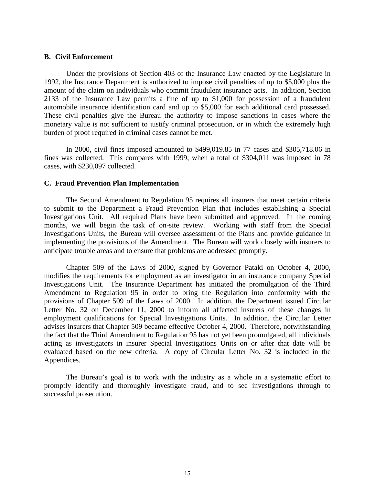#### <span id="page-18-0"></span>**B. Civil Enforcement**

 amount of the claim on individuals who commit fraudulent insurance acts. In addition, Section These civil penalties give the Bureau the authority to impose sanctions in cases where the Under the provisions of Section 403 of the Insurance Law enacted by the Legislature in 1992, the Insurance Department is authorized to impose civil penalties of up to \$5,000 plus the 2133 of the Insurance Law permits a fine of up to \$1,000 for possession of a fraudulent automobile insurance identification card and up to \$5,000 for each additional card possessed. monetary value is not sufficient to justify criminal prosecution, or in which the extremely high burden of proof required in criminal cases cannot be met.

In 2000, civil fines imposed amounted to \$499,019.85 in 77 cases and \$305,718.06 in fines was collected. This compares with 1999, when a total of \$304,011 was imposed in 78 cases, with \$230,097 collected.

#### **C. Fraud Prevention Plan Implementation**

 months, we will begin the task of on-site review. Working with staff from the Special Investigations Units, the Bureau will oversee assessment of the Plans and provide guidance in The Second Amendment to Regulation 95 requires all insurers that meet certain criteria to submit to the Department a Fraud Prevention Plan that includes establishing a Special Investigations Unit. All required Plans have been submitted and approved. In the coming implementing the provisions of the Amendment. The Bureau will work closely with insurers to anticipate trouble areas and to ensure that problems are addressed promptly.

 Investigations Unit. The Insurance Department has initiated the promulgation of the Third Chapter 509 of the Laws of 2000, signed by Governor Pataki on October 4, 2000, modifies the requirements for employment as an investigator in an insurance company Special Amendment to Regulation 95 in order to bring the Regulation into conformity with the provisions of Chapter 509 of the Laws of 2000. In addition, the Department issued Circular Letter No. 32 on December 11, 2000 to inform all affected insurers of these changes in employment qualifications for Special Investigations Units. In addition, the Circular Letter advises insurers that Chapter 509 became effective October 4, 2000. Therefore, notwithstanding the fact that the Third Amendment to Regulation 95 has not yet been promulgated, all individuals acting as investigators in insurer Special Investigations Units on or after that date will be evaluated based on the new criteria. A copy of Circular Letter No. 32 is included in the Appendices.

 promptly identify and thoroughly investigate fraud, and to see investigations through to The Bureau's goal is to work with the industry as a whole in a systematic effort to successful prosecution.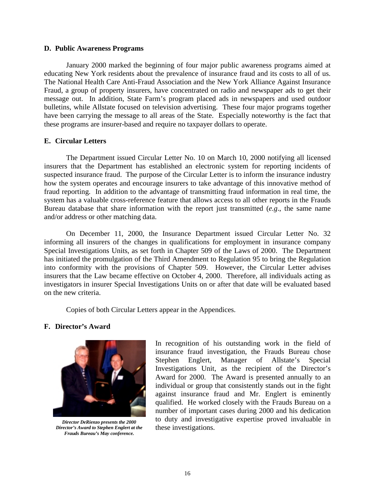#### <span id="page-19-0"></span>**D. Public Awareness Programs**

 The National Health Care Anti-Fraud Association and the New York Alliance Against Insurance January 2000 marked the beginning of four major public awareness programs aimed at educating New York residents about the prevalence of insurance fraud and its costs to all of us. Fraud, a group of property insurers, have concentrated on radio and newspaper ads to get their message out. In addition, State Farm's program placed ads in newspapers and used outdoor bulletins, while Allstate focused on television advertising. These four major programs together have been carrying the message to all areas of the State. Especially noteworthy is the fact that these programs are insurer-based and require no taxpayer dollars to operate.

#### **E. Circular Letters**

 insurers that the Department has established an electronic system for reporting incidents of fraud reporting. In addition to the advantage of transmitting fraud information in real time, the Bureau database that share information with the report just transmitted (*e.g*., the same name The Department issued Circular Letter No. 10 on March 10, 2000 notifying all licensed suspected insurance fraud. The purpose of the Circular Letter is to inform the insurance industry how the system operates and encourage insurers to take advantage of this innovative method of system has a valuable cross-reference feature that allows access to all other reports in the Frauds and/or address or other matching data.

On December 11, 2000, the Insurance Department issued Circular Letter No. 32 informing all insurers of the changes in qualifications for employment in insurance company Special Investigations Units, as set forth in Chapter 509 of the Laws of 2000. The Department has initiated the promulgation of the Third Amendment to Regulation 95 to bring the Regulation into conformity with the provisions of Chapter 509. However, the Circular Letter advises insurers that the Law became effective on October 4, 2000. Therefore, all individuals acting as investigators in insurer Special Investigations Units on or after that date will be evaluated based on the new criteria.

Copies of both Circular Letters appear in the Appendices.

#### **F. Director's Award**



*Director DeRienzo presents the 2000 Director's Award to Stephen Englert at the Frauds Bureau's May conference.* 

 Investigations Unit, as the recipient of the Director's In recognition of his outstanding work in the field of insurance fraud investigation, the Frauds Bureau chose Stephen Englert, Manager of Allstate's Special Award for 2000. The Award is presented annually to an individual or group that consistently stands out in the fight against insurance fraud and Mr. Englert is eminently qualified. He worked closely with the Frauds Bureau on a number of important cases during 2000 and his dedication to duty and investigative expertise proved invaluable in these investigations.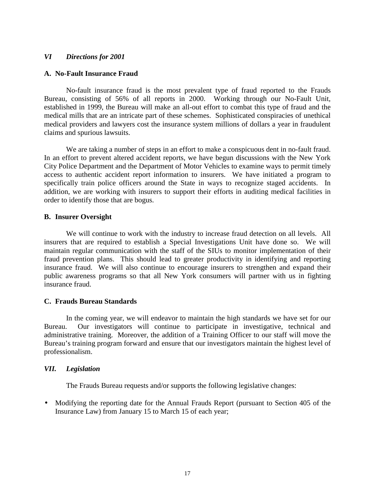#### <span id="page-20-0"></span>*VI Directions for 2001*

#### **A. No-Fault Insurance Fraud**

No-fault insurance fraud is the most prevalent type of fraud reported to the Frauds Bureau, consisting of 56% of all reports in 2000. Working through our No-Fault Unit, established in 1999, the Bureau will make an all-out effort to combat this type of fraud and the medical mills that are an intricate part of these schemes. Sophisticated conspiracies of unethical medical providers and lawyers cost the insurance system millions of dollars a year in fraudulent claims and spurious lawsuits.

 City Police Department and the Department of Motor Vehicles to examine ways to permit timely access to authentic accident report information to insurers. We have initiated a program to We are taking a number of steps in an effort to make a conspicuous dent in no-fault fraud. In an effort to prevent altered accident reports, we have begun discussions with the New York specifically train police officers around the State in ways to recognize staged accidents. In addition, we are working with insurers to support their efforts in auditing medical facilities in order to identify those that are bogus.

#### **B. Insurer Oversight**

We will continue to work with the industry to increase fraud detection on all levels. All insurers that are required to establish a Special Investigations Unit have done so. We will maintain regular communication with the staff of the SIUs to monitor implementation of their fraud prevention plans. This should lead to greater productivity in identifying and reporting insurance fraud. We will also continue to encourage insurers to strengthen and expand their public awareness programs so that all New York consumers will partner with us in fighting insurance fraud.

#### **C. Frauds Bureau Standards**

 In the coming year, we will endeavor to maintain the high standards we have set for our administrative training. Moreover, the addition of a Training Officer to our staff will move the Bureau's training program forward and ensure that our investigators maintain the highest level of Bureau. Our investigators will continue to participate in investigative, technical and professionalism.

#### *VII. Legislation*

The Frauds Bureau requests and/or supports the following legislative changes:

• Modifying the reporting date for the Annual Frauds Report (pursuant to Section 405 of the Insurance Law) from January 15 to March 15 of each year;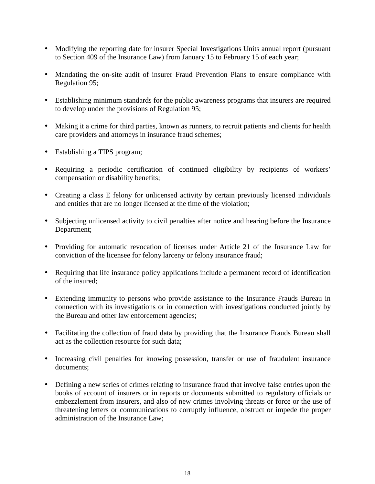- Modifying the reporting date for insurer Special Investigations Units annual report (pursuant to Section 409 of the Insurance Law) from January 15 to February 15 of each year;
- • Mandating the on-site audit of insurer Fraud Prevention Plans to ensure compliance with Regulation 95;
- • Establishing minimum standards for the public awareness programs that insurers are required to develop under the provisions of Regulation 95;
- Making it a crime for third parties, known as runners, to recruit patients and clients for health care providers and attorneys in insurance fraud schemes;
- Establishing a TIPS program;
- Requiring a periodic certification of continued eligibility by recipients of workers' compensation or disability benefits;
- Creating a class E felony for unlicensed activity by certain previously licensed individuals and entities that are no longer licensed at the time of the violation;
- Subjecting unlicensed activity to civil penalties after notice and hearing before the Insurance Department;
- Providing for automatic revocation of licenses under Article 21 of the Insurance Law for conviction of the licensee for felony larceny or felony insurance fraud;
- Requiring that life insurance policy applications include a permanent record of identification of the insured;
- Extending immunity to persons who provide assistance to the Insurance Frauds Bureau in connection with its investigations or in connection with investigations conducted jointly by the Bureau and other law enforcement agencies;
- Facilitating the collection of fraud data by providing that the Insurance Frauds Bureau shall act as the collection resource for such data;
- Increasing civil penalties for knowing possession, transfer or use of fraudulent insurance documents;
- threatening letters or communications to corruptly influence, obstruct or impede the proper administration of the Insurance Law; • Defining a new series of crimes relating to insurance fraud that involve false entries upon the books of account of insurers or in reports or documents submitted to regulatory officials or embezzlement from insurers, and also of new crimes involving threats or force or the use of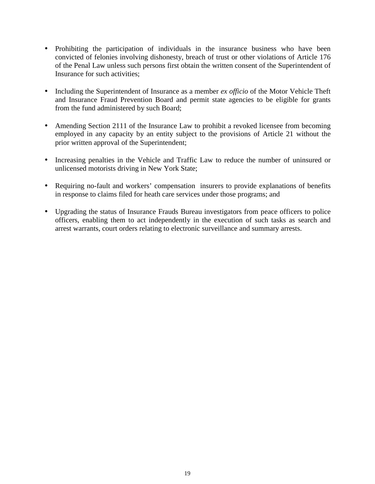- Prohibiting the participation of individuals in the insurance business who have been convicted of felonies involving dishonesty, breach of trust or other violations of Article 176 of the Penal Law unless such persons first obtain the written consent of the Superintendent of Insurance for such activities;
- and Insurance Fraud Prevention Board and permit state agencies to be eligible for grants • Including the Superintendent of Insurance as a member *ex officio* of the Motor Vehicle Theft from the fund administered by such Board;
- Amending Section 2111 of the Insurance Law to prohibit a revoked licensee from becoming employed in any capacity by an entity subject to the provisions of Article 21 without the prior written approval of the Superintendent;
- • Increasing penalties in the Vehicle and Traffic Law to reduce the number of uninsured or unlicensed motorists driving in New York State;
- Requiring no-fault and workers' compensation insurers to provide explanations of benefits in response to claims filed for heath care services under those programs; and
- Upgrading the status of Insurance Frauds Bureau investigators from peace officers to police officers, enabling them to act independently in the execution of such tasks as search and arrest warrants, court orders relating to electronic surveillance and summary arrests.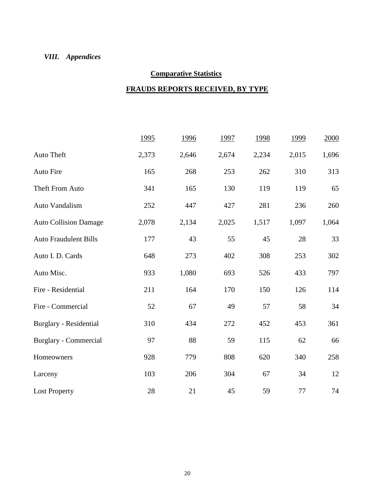# *VIII. Appendices*

# **Comparative Statistics**

# **FRAUDS REPORTS RECEIVED, BY TYPE**

|                              | 1995  | 1996  | 1997  | 1998  | 1999  | 2000  |
|------------------------------|-------|-------|-------|-------|-------|-------|
| Auto Theft                   | 2,373 | 2,646 | 2,674 | 2,234 | 2,015 | 1,696 |
| Auto Fire                    | 165   | 268   | 253   | 262   | 310   | 313   |
| Theft From Auto              | 341   | 165   | 130   | 119   | 119   | 65    |
| Auto Vandalism               | 252   | 447   | 427   | 281   | 236   | 260   |
| <b>Auto Collision Damage</b> | 2,078 | 2,134 | 2,025 | 1,517 | 1,097 | 1,064 |
| <b>Auto Fraudulent Bills</b> | 177   | 43    | 55    | 45    | 28    | 33    |
| Auto I. D. Cards             | 648   | 273   | 402   | 308   | 253   | 302   |
| Auto Misc.                   | 933   | 1,080 | 693   | 526   | 433   | 797   |
| Fire - Residential           | 211   | 164   | 170   | 150   | 126   | 114   |
| Fire - Commercial            | 52    | 67    | 49    | 57    | 58    | 34    |
| Burglary - Residential       | 310   | 434   | 272   | 452   | 453   | 361   |
| Burglary - Commercial        | 97    | 88    | 59    | 115   | 62    | 66    |
| Homeowners                   | 928   | 779   | 808   | 620   | 340   | 258   |
| Larceny                      | 103   | 206   | 304   | 67    | 34    | 12    |
| <b>Lost Property</b>         | 28    | 21    | 45    | 59    | 77    | 74    |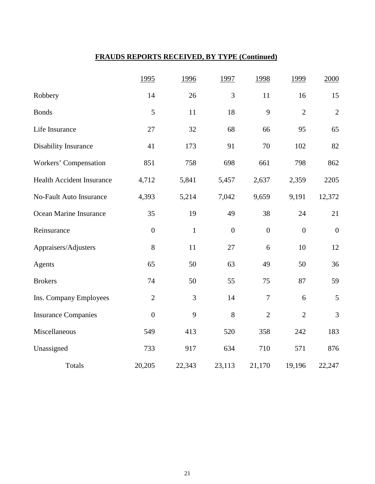# **FRAUDS REPORTS RECEIVED, BY TYPE (Continued)**

|                                  | 1995             | 1996         | 1997             | 1998             | 1999             | 2000             |
|----------------------------------|------------------|--------------|------------------|------------------|------------------|------------------|
| Robbery                          | 14               | 26           | 3                | 11               | 16               | 15               |
| <b>Bonds</b>                     | 5                | 11           | 18               | 9                | $\overline{2}$   | $\overline{2}$   |
| Life Insurance                   | 27               | 32           | 68               | 66               | 95               | 65               |
| Disability Insurance             | 41               | 173          | 91               | 70               | 102              | 82               |
| Workers' Compensation            | 851              | 758          | 698              | 661              | 798              | 862              |
| <b>Health Accident Insurance</b> | 4,712            | 5,841        | 5,457            | 2,637            | 2,359            | 2205             |
| No-Fault Auto Insurance          | 4,393            | 5,214        | 7,042            | 9,659            | 9,191            | 12,372           |
| Ocean Marine Insurance           | 35               | 19           | 49               | 38               | 24               | 21               |
| Reinsurance                      | $\boldsymbol{0}$ | $\mathbf{1}$ | $\boldsymbol{0}$ | $\boldsymbol{0}$ | $\boldsymbol{0}$ | $\boldsymbol{0}$ |
| Appraisers/Adjusters             | 8                | 11           | 27               | 6                | 10               | 12               |
| Agents                           | 65               | 50           | 63               | 49               | 50               | 36               |
| <b>Brokers</b>                   | 74               | 50           | 55               | 75               | 87               | 59               |
| Ins. Company Employees           | $\overline{2}$   | 3            | 14               | $\overline{7}$   | 6                | 5                |
| <b>Insurance Companies</b>       | $\overline{0}$   | 9            | 8                | $\overline{2}$   | $\overline{2}$   | 3                |
| Miscellaneous                    | 549              | 413          | 520              | 358              | 242              | 183              |
| Unassigned                       | 733              | 917          | 634              | 710              | 571              | 876              |
| Totals                           | 20,205           | 22,343       | 23,113           | 21,170           | 19,196           | 22,247           |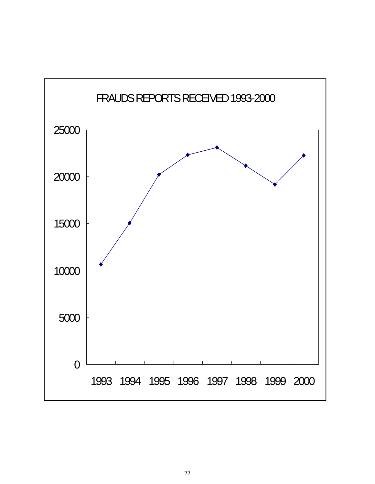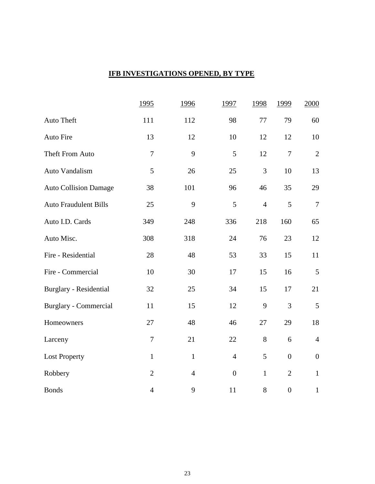# **IFB INVESTIGATIONS OPENED, BY TYPE**

|                              | 1995             | 1996           | 1997             | 1998           | 1999             | 2000             |
|------------------------------|------------------|----------------|------------------|----------------|------------------|------------------|
| Auto Theft                   | 111              | 112            | 98               | $77\,$         | 79               | 60               |
| Auto Fire                    | 13               | 12             | 10               | 12             | 12               | 10               |
| Theft From Auto              | $\boldsymbol{7}$ | 9              | 5                | 12             | $\boldsymbol{7}$ | $\sqrt{2}$       |
| Auto Vandalism               | 5                | 26             | 25               | 3              | 10               | 13               |
| <b>Auto Collision Damage</b> | 38               | 101            | 96               | 46             | 35               | 29               |
| <b>Auto Fraudulent Bills</b> | 25               | 9              | 5                | $\overline{4}$ | 5                | $\tau$           |
| Auto I.D. Cards              | 349              | 248            | 336              | 218            | 160              | 65               |
| Auto Misc.                   | 308              | 318            | 24               | 76             | 23               | 12               |
| Fire - Residential           | 28               | 48             | 53               | 33             | 15               | 11               |
| Fire - Commercial            | 10               | 30             | 17               | 15             | 16               | $\sqrt{5}$       |
| Burglary - Residential       | 32               | 25             | 34               | 15             | 17               | 21               |
| <b>Burglary - Commercial</b> | 11               | 15             | 12               | 9              | 3                | 5                |
| Homeowners                   | 27               | 48             | 46               | 27             | 29               | 18               |
| Larceny                      | $\overline{7}$   | 21             | 22               | 8              | 6                | $\overline{4}$   |
| <b>Lost Property</b>         | $\mathbf{1}$     | $\mathbf{1}$   | $\overline{4}$   | 5              | $\overline{0}$   | $\boldsymbol{0}$ |
| Robbery                      | $\overline{2}$   | $\overline{4}$ | $\boldsymbol{0}$ | $\mathbf{1}$   | $\overline{2}$   | $\mathbf{1}$     |
| <b>Bonds</b>                 | $\overline{4}$   | 9              | 11               | $8\,$          | $\boldsymbol{0}$ | $\mathbf{1}$     |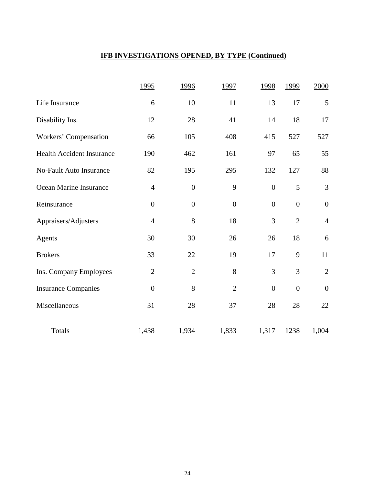# **IFB INVESTIGATIONS OPENED, BY TYPE (Continued)**

|                                  | 1995             | 1996             | 1997             | 1998             | 1999             | 2000             |
|----------------------------------|------------------|------------------|------------------|------------------|------------------|------------------|
| Life Insurance                   | 6                | 10               | 11               | 13               | 17               | 5                |
| Disability Ins.                  | 12               | 28               | 41               | 14               | 18               | 17               |
| Workers' Compensation            | 66               | 105              | 408              | 415              | 527              | 527              |
| <b>Health Accident Insurance</b> | 190              | 462              | 161              | 97               | 65               | 55               |
| <b>No-Fault Auto Insurance</b>   | 82               | 195              | 295              | 132              | 127              | 88               |
| Ocean Marine Insurance           | $\overline{4}$   | $\boldsymbol{0}$ | 9                | $\boldsymbol{0}$ | 5                | 3                |
| Reinsurance                      | $\boldsymbol{0}$ | $\boldsymbol{0}$ | $\boldsymbol{0}$ | $\boldsymbol{0}$ | $\boldsymbol{0}$ | $\boldsymbol{0}$ |
| Appraisers/Adjusters             | $\overline{4}$   | 8                | 18               | 3                | $\overline{2}$   | $\overline{4}$   |
| Agents                           | 30               | 30               | 26               | 26               | 18               | 6                |
| <b>Brokers</b>                   | 33               | 22               | 19               | 17               | 9                | 11               |
| Ins. Company Employees           | $\overline{2}$   | $\overline{2}$   | 8                | 3                | 3                | $\overline{2}$   |
| <b>Insurance Companies</b>       | $\boldsymbol{0}$ | 8                | $\overline{2}$   | $\boldsymbol{0}$ | $\overline{0}$   | $\boldsymbol{0}$ |
| Miscellaneous                    | 31               | 28               | 37               | 28               | $28\,$           | 22               |
| <b>Totals</b>                    | 1,438            | 1,934            | 1,833            | 1,317            | 1238             | 1,004            |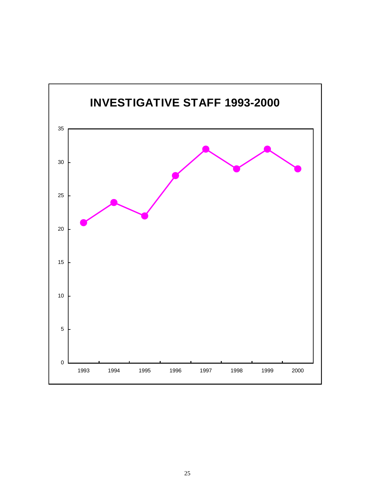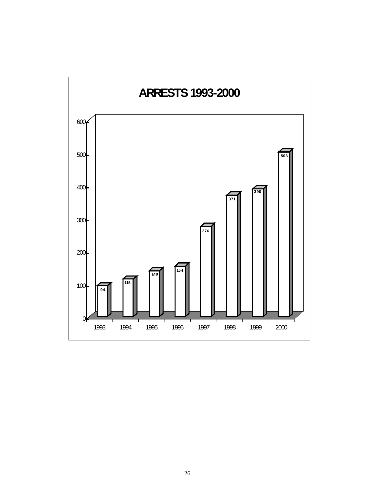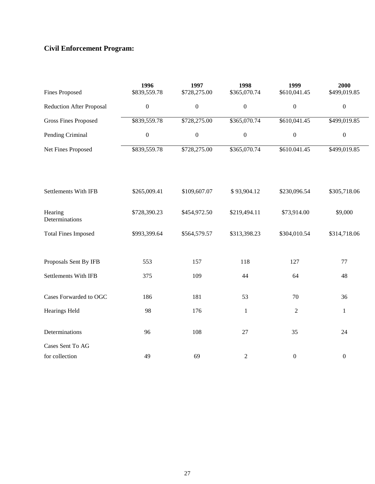# **Civil Enforcement Program:**

| <b>Fines Proposed</b>           | 1996<br>\$839,559.78 | 1997<br>\$728,275.00 | 1998<br>\$365,070.74 | 1999<br>\$610,041.45 | 2000<br>\$499,019.85 |
|---------------------------------|----------------------|----------------------|----------------------|----------------------|----------------------|
| <b>Reduction After Proposal</b> | $\boldsymbol{0}$     | $\boldsymbol{0}$     | $\boldsymbol{0}$     | $\boldsymbol{0}$     | $\boldsymbol{0}$     |
| <b>Gross Fines Proposed</b>     | \$839,559.78         | \$728,275.00         | \$365,070.74         | \$610,041.45         | \$499,019.85         |
| Pending Criminal                | $\boldsymbol{0}$     | $\boldsymbol{0}$     | $\boldsymbol{0}$     | $\boldsymbol{0}$     | $\boldsymbol{0}$     |
| Net Fines Proposed              | \$839,559.78         | \$728,275.00         | \$365,070.74         | \$610.041.45         | \$499,019.85         |
| Settlements With IFB            | \$265,009.41         | \$109,607.07         | \$93,904.12          | \$230,096.54         | \$305,718.06         |
| Hearing<br>Determinations       | \$728,390.23         | \$454,972.50         | \$219,494.11         | \$73,914.00          | \$9,000              |
| <b>Total Fines Imposed</b>      | \$993,399.64         | \$564,579.57         | \$313,398.23         | \$304,010.54         | \$314,718.06         |
| Proposals Sent By IFB           | 553                  | 157                  | 118                  | 127                  | 77                   |
| <b>Settlements With IFB</b>     | 375                  | 109                  | 44                   | 64                   | 48                   |
| Cases Forwarded to OGC          | 186                  | 181                  | 53                   | 70                   | 36                   |
| <b>Hearings Held</b>            | 98                   | 176                  | $1\,$                | $\sqrt{2}$           | $\mathbf{1}$         |
| Determinations                  | 96                   | 108                  | $27\,$               | 35                   | 24                   |
| Cases Sent To AG                |                      |                      |                      |                      |                      |
| for collection                  | 49                   | 69                   | $\overline{c}$       | $\boldsymbol{0}$     | $\boldsymbol{0}$     |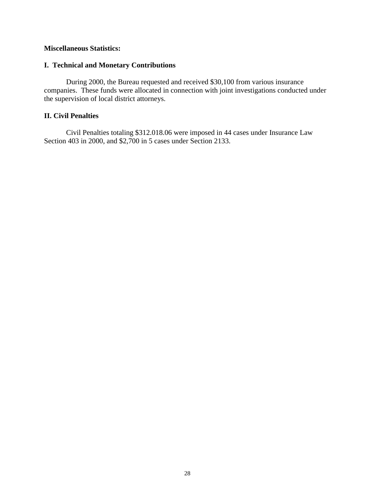# **Miscellaneous Statistics:**

# **I. Technical and Monetary Contributions**

During 2000, the Bureau requested and received \$30,100 from various insurance companies. These funds were allocated in connection with joint investigations conducted under the supervision of local district attorneys.

# **II. Civil Penalties**

Civil Penalties totaling \$312.018.06 were imposed in 44 cases under Insurance Law Section 403 in 2000, and \$2,700 in 5 cases under Section 2133.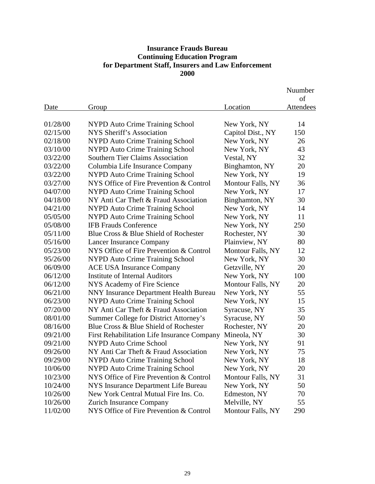# **Insurance Frauds Bureau Continuing Education Program for Department Staff, Insurers and Law Enforcement 2000**

|          |                                             |                   | Nuumber   |
|----------|---------------------------------------------|-------------------|-----------|
|          |                                             |                   | of        |
| Date     | Group                                       | Location          | Attendees |
|          |                                             |                   |           |
| 01/28/00 | NYPD Auto Crime Training School             | New York, NY      | 14        |
| 02/15/00 | NYS Sheriff's Association                   | Capitol Dist., NY | 150       |
| 02/18/00 | NYPD Auto Crime Training School             | New York, NY      | 26        |
| 03/10/00 | <b>NYPD Auto Crime Training School</b>      | New York, NY      | 43        |
| 03/22/00 | <b>Southern Tier Claims Association</b>     | Vestal, NY        | 32        |
| 03/22/00 | Columbia Life Insurance Company             | Binghamton, NY    | 20        |
| 03/22/00 | <b>NYPD Auto Crime Training School</b>      | New York, NY      | 19        |
| 03/27/00 | NYS Office of Fire Prevention & Control     | Montour Falls, NY | 36        |
| 04/07/00 | NYPD Auto Crime Training School             | New York, NY      | 17        |
| 04/18/00 | NY Anti Car Theft & Fraud Association       | Binghamton, NY    | 30        |
| 04/21/00 | <b>NYPD Auto Crime Training School</b>      | New York, NY      | 14        |
| 05/05/00 | <b>NYPD Auto Crime Training School</b>      | New York, NY      | 11        |
| 05/08/00 | <b>IFB Frauds Conference</b>                | New York, NY      | 250       |
| 05/11/00 | Blue Cross & Blue Shield of Rochester       | Rochester, NY     | 30        |
| 05/16/00 | <b>Lancer Insurance Company</b>             | Plainview, NY     | 80        |
| 05/23/00 | NYS Office of Fire Prevention & Control     | Montour Falls, NY | 12        |
| 95/26/00 | <b>NYPD Auto Crime Training School</b>      | New York, NY      | 30        |
| 06/09/00 | <b>ACE USA Insurance Company</b>            | Getzville, NY     | 20        |
| 06/12/00 | Institute of Internal Auditors              | New York, NY      | 100       |
| 06/12/00 | NYS Academy of Fire Science                 | Montour Falls, NY | 20        |
| 06/21/00 | NNY Insurance Department Health Bureau      | New York, NY      | 55        |
| 06/23/00 | <b>NYPD Auto Crime Training School</b>      | New York, NY      | 15        |
| 07/20/00 | NY Anti Car Theft & Fraud Association       | Syracuse, NY      | 35        |
| 08/01/00 | Summer College for District Attorney's      | Syracuse, NY      | 50        |
| 08/16/00 | Blue Cross & Blue Shield of Rochester       | Rochester, NY     | 20        |
| 09/21/00 | First Rehabilitation Life Insurance Company | Mineola, NY       | 30        |
| 09/21/00 | <b>NYPD Auto Crime School</b>               | New York, NY      | 91        |
| 09/26/00 | NY Anti Car Theft & Fraud Association       | New York, NY      | 75        |
| 09/29/00 | <b>NYPD Auto Crime Training School</b>      | New York, NY      | 18        |
| 10/06/00 | <b>NYPD Auto Crime Training School</b>      | New York, NY      | 20        |
| 10/23/00 | NYS Office of Fire Prevention & Control     | Montour Falls, NY | 31        |
| 10/24/00 | NYS Insurance Department Life Bureau        | New York, NY      | 50        |
| 10/26/00 | New York Central Mutual Fire Ins. Co.       | Edmeston, NY      | 70        |
| 10/26/00 | <b>Zurich Insurance Company</b>             | Melville, NY      | 55        |
| 11/02/00 | NYS Office of Fire Prevention & Control     | Montour Falls, NY | 290       |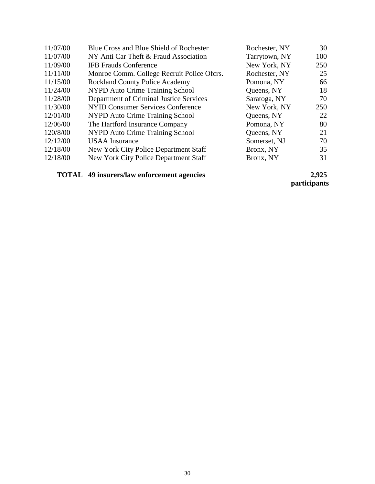| 11/07/00 | Blue Cross and Blue Shield of Rochester    | Rochester, NY | 30  |
|----------|--------------------------------------------|---------------|-----|
| 11/07/00 | NY Anti Car Theft & Fraud Association      | Tarrytown, NY | 100 |
| 11/09/00 | <b>IFB Frauds Conference</b>               | New York, NY  | 250 |
| 11/11/00 | Monroe Comm. College Recruit Police Ofcrs. | Rochester, NY | 25  |
| 11/15/00 | <b>Rockland County Police Academy</b>      | Pomona, NY    | 66  |
| 11/24/00 | NYPD Auto Crime Training School            | Queens, NY    | 18  |
| 11/28/00 | Department of Criminal Justice Services    | Saratoga, NY  | 70  |
| 11/30/00 | NYID Consumer Services Conference          | New York, NY  | 250 |
| 12/01/00 | NYPD Auto Crime Training School            | Queens, NY    | 22  |
| 12/06/00 | The Hartford Insurance Company             | Pomona, NY    | 80  |
| 120/8/00 | NYPD Auto Crime Training School            | Queens, NY    | 21  |
| 12/12/00 | <b>USAA</b> Insurance                      | Somerset, NJ  | 70  |
| 12/18/00 | New York City Police Department Staff      | Bronx, NY     | 35  |
| 12/18/00 | New York City Police Department Staff      | Bronx, NY     | 31  |
|          |                                            |               |     |

# **TOTAL** 49 insurers/law enforcement agencies

 **participants**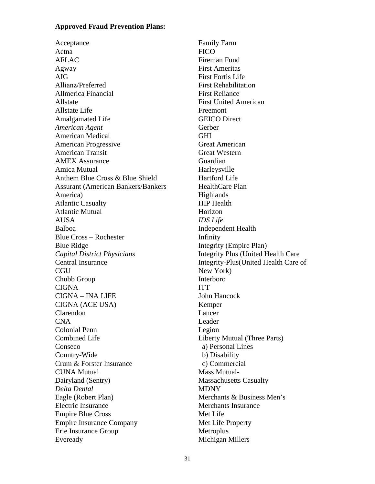#### **Approved Fraud Prevention Plans:**

Acceptance Aetna AFLAC Agway AIG Allianz/Preferred Allmerica Financial Allstate Allstate Life Amalgamated Life *American Agent*  American Medical American Progressive American Transit AMEX Assurance Amica Mutual Anthem Blue Cross & Blue Shield Assurant (American Bankers/Bankers America) Atlantic Casualty Atlantic Mutual AUSA Balboa Blue Cross – Rochester Blue Ridge *Capital District Physicians*  Central Insurance **CGU** Chubb Group CIGNA CIGNA – INA LIFE CIGNA (ACE USA) Clarendon CNA Colonial Penn Combined Life Conseco Country-Wide Crum & Forster Insurance CUNA Mutual Dairyland (Sentry) *Delta Dental*  Eagle (Robert Plan) Electric Insurance Empire Blue Cross Empire Insurance Company Erie Insurance Group Eveready

Family Farm **FICO** Fireman Fund First Ameritas First Fortis Life First Rehabilitation First Reliance First United American Freemont GEICO Direct Gerber GHI Great American Great Western Guardian Harleysville Hartford Life HealthCare Plan **Highlands** HIP Health Horizon *IDS Life*  Independent Health Infinity Integrity (Empire Plan) Integrity Plus (United Health Care Integrity-Plus(United Health Care of New York) Interboro **ITT** John Hancock Kemper Lancer Leader Legion Liberty Mutual (Three Parts) a) Personal Lines b) Disability c) Commercial Mass Mutual-Massachusetts Casualty MDNY Merchants & Business Men's Merchants Insurance Met Life Met Life Property **Metroplus** Michigan Millers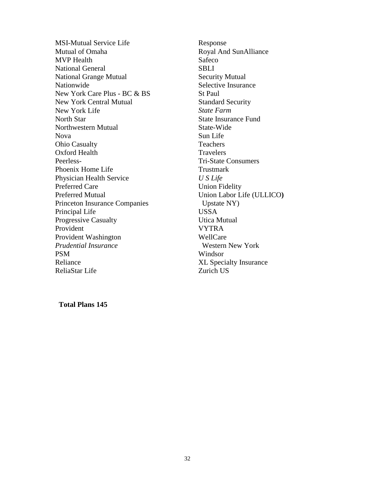New York Care Plus - BC & BS MSI-Mutual Service Life Mutual of Omaha MVP Health National General National Grange Mutual Nationwide New York Central Mutual New York Life North Star Northwestern Mutual Nova Ohio Casualty Oxford Health Peerless-Phoenix Home Life Physician Health Service Preferred Care Preferred Mutual Princeton Insurance Companies Principal Life Progressive Casualty Provident Provident Washington *Prudential Insurance*  PSM Reliance ReliaStar Life

Response Royal And SunAlliance Safeco **SBLI** Security Mutual Selective Insurance St Paul Standard Security *State Farm*  State Insurance Fund State-Wide Sun Life Teachers **Travelers** Tri-State Consumers Trustmark *U S Life*  Union Fidelity Union Labor Life (ULLICO**)** Upstate NY) USSA Utica Mutual VYTRA WellCare Western New York Windsor XL Specialty Insurance Zurich US

**Total Plans 145**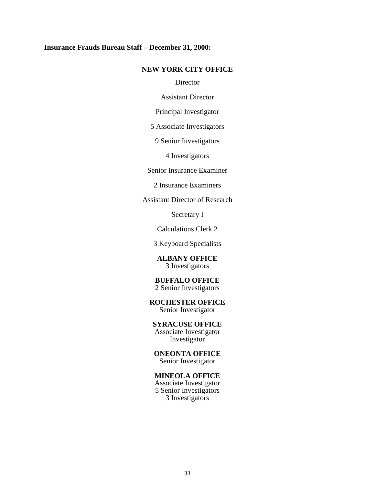#### **Insurance Frauds Bureau Staff – December 31, 2000:**

#### **NEW YORK CITY OFFICE**

**Director** 

Assistant Director

Principal Investigator

5 Associate Investigators

9 Senior Investigators

4 Investigators

Senior Insurance Examiner

2 Insurance Examiners

Assistant Director of Research

Secretary I

Calculations Clerk 2

3 Keyboard Specialists

**ALBANY OFFICE**  3 Investigators

#### **BUFFALO OFFICE**  2 Senior Investigators

**ROCHESTER OFFICE**  Senior Investigator

#### **SYRACUSE OFFICE**

Associate Investigator Investigator

**ONEONTA OFFICE**  Senior Investigator

#### **MINEOLA OFFICE**

Associate Investigator 5 Senior Investigators 3 Investigators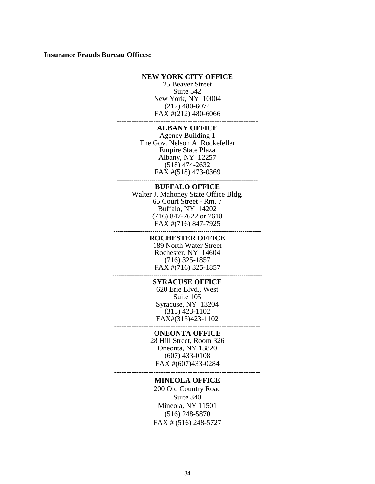#### **Insurance Frauds Bureau Offices:**

#### **NEW YORK CITY OFFICE**

25 Beaver Street Suite 542 New York, NY 10004 (212) 480-6074 FAX #(212) 480-6066

**----------------------------------------------------------**

# **ALBANY OFFICE**

---------------------------------------------------------------------- Agency Building 1 The Gov. Nelson A. Rockefeller Empire State Plaza Albany, NY 12257 (518) 474-2632 FAX #(518) 473-0369

#### **BUFFALO OFFICE**

**------------------------------------------------------------------------** Walter J. Mahoney State Office Bldg. 65 Court Street - Rm. 7 Buffalo, NY 14202 (716) 847-7622 or 7618 FAX #(716) 847-7925

#### **ROCHESTER OFFICE**

189 North Water Street Rochester, NY 14604 (716) 325-1857 FAX #(716) 325-1857

#### **------------------------------------------------------------------------- SYRACUSE OFFICE**

620 Erie Blvd., West Suite 105 Syracuse, NY 13204 (315) 423-1102 FAX#(315)423-1102

**------------------------------------------------------------ ONEONTA OFFICE** 

> 28 Hill Street, Room 326 Oneonta, NY 13820 (607) 433-0108 FAX #(607)433-0284

**------------------------------------------------------------**

#### **MINEOLA OFFICE**

200 Old Country Road Suite 340 Mineola, NY 11501 (516) 248-5870 FAX # (516) 248-5727